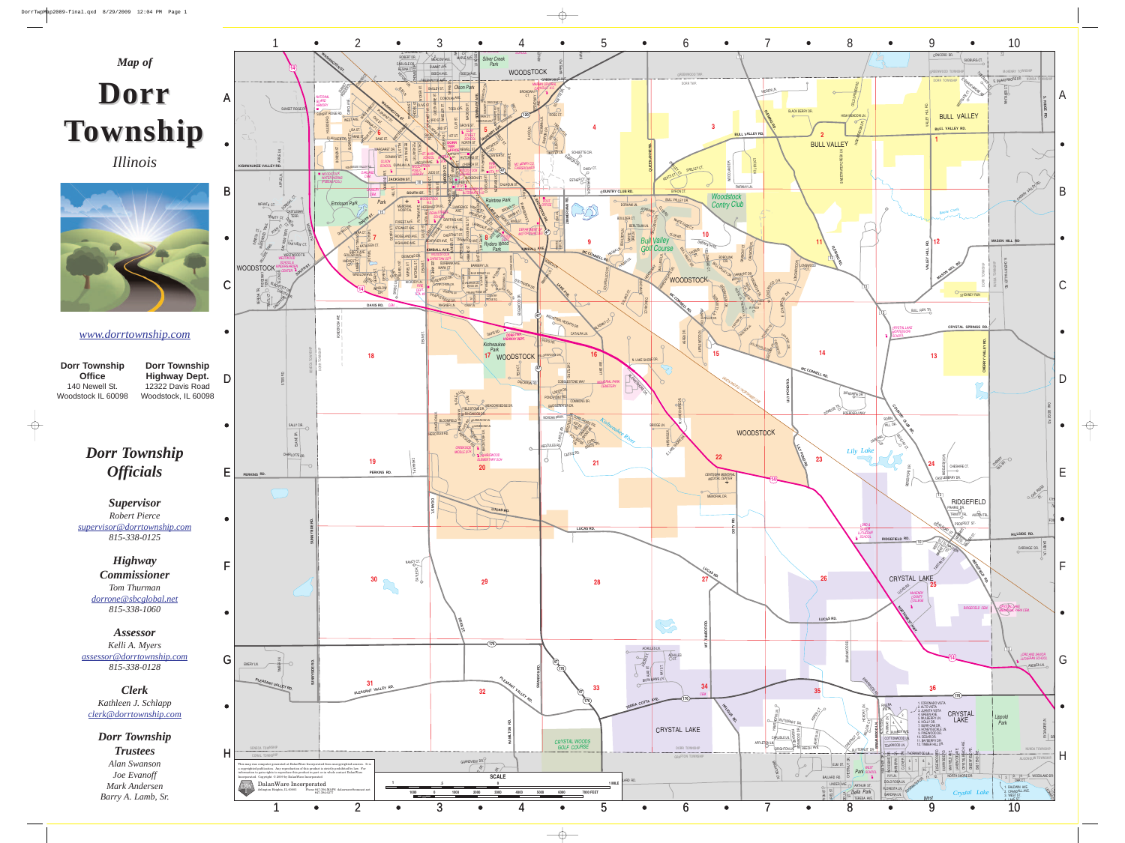

 $\rightarrow$